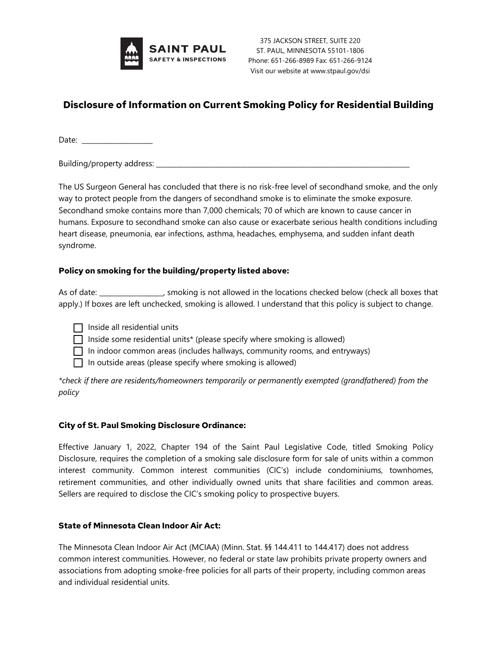

375 JACKSON STREET, SUITE 220 ST. PAUL, MINNESOTA 55101-1806 Phone: 651-266-8989 Fax: 651-266-9124 Visit our website at www.stpaul.gov/dsi

# **Disclosure of Information on Current Smoking Policy for Residential Building**

Date: \_\_\_\_\_\_\_\_\_\_\_\_\_\_\_\_\_\_\_\_\_

Building/property address:

The US Surgeon General has concluded that there is no risk-free level of secondhand smoke, and the only way to protect people from the dangers of secondhand smoke is to eliminate the smoke exposure. Secondhand smoke contains more than 7,000 chemicals; 70 of which are known to cause cancer in humans. Exposure to secondhand smoke can also cause or exacerbate serious health conditions including heart disease, pneumonia, ear infections, asthma, headaches, emphysema, and sudden infant death syndrome.

### **Policy on smoking for the building/property listed above:**

As of date: \_\_\_\_\_\_\_\_\_\_\_\_\_\_\_\_\_\_\_, smoking is not allowed in the locations checked below (check all boxes that apply.) If boxes are left unchecked, smoking is allowed. I understand that this policy is subject to change.

 $\Box$  Inside all residential units

 $\Box$  Inside some residential units\* (please specify where smoking is allowed)

- $\Box$  In indoor common areas (includes hallways, community rooms, and entryways)
- $\Box$  In outside areas (please specify where smoking is allowed)

*\*check if there are residents/homeowners temporarily or permanently exempted (grandfathered) from the policy*

#### **City of St. Paul Smoking Disclosure Ordinance:**

Effective January 1, 2022, Chapter 194 of the Saint Paul Legislative Code, titled Smoking Policy Disclosure, requires the completion of a smoking sale disclosure form for sale of units within a common interest community. Common interest communities (CIC's) include condominiums, townhomes, retirement communities, and other individually owned units that share facilities and common areas. Sellers are required to disclose the CIC's smoking policy to prospective buyers.

## **State of Minnesota Clean Indoor Air Act:**

The Minnesota Clean Indoor Air Act (MCIAA) (Minn. Stat. §§ 144.411 to 144.417) does not address common interest communities. However, no federal or state law prohibits private property owners and associations from adopting smoke-free policies for all parts of their property, including common areas and individual residential units.